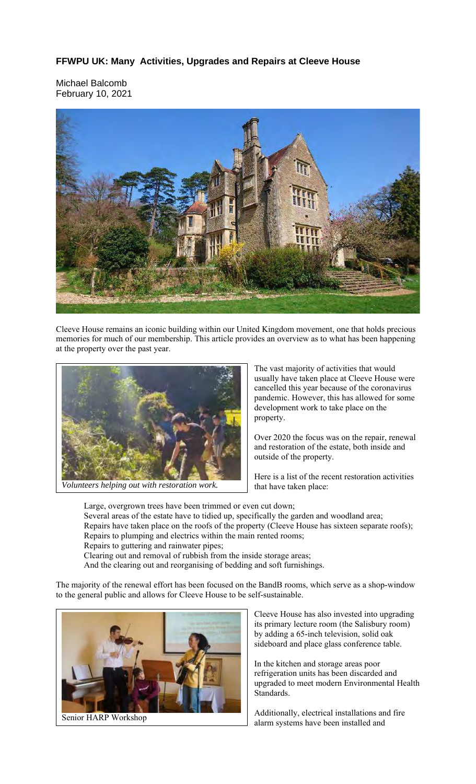## **FFWPU UK: Many Activities, Upgrades and Repairs at Cleeve House**

Michael Balcomb February 10, 2021



Cleeve House remains an iconic building within our United Kingdom movement, one that holds precious memories for much of our membership. This article provides an overview as to what has been happening at the property over the past year.



*Volunteers helping out with restoration work.*

The vast majority of activities that would usually have taken place at Cleeve House were cancelled this year because of the coronavirus pandemic. However, this has allowed for some development work to take place on the property.

Over 2020 the focus was on the repair, renewal and restoration of the estate, both inside and outside of the property.

Here is a list of the recent restoration activities that have taken place:

Large, overgrown trees have been trimmed or even cut down; Several areas of the estate have to tidied up, specifically the garden and woodland area; Repairs have taken place on the roofs of the property (Cleeve House has sixteen separate roofs); Repairs to plumping and electrics within the main rented rooms;

Repairs to guttering and rainwater pipes;

Clearing out and removal of rubbish from the inside storage areas;

And the clearing out and reorganising of bedding and soft furnishings.

The majority of the renewal effort has been focused on the BandB rooms, which serve as a shop-window to the general public and allows for Cleeve House to be self-sustainable.



Senior HARP Workshop

Cleeve House has also invested into upgrading its primary lecture room (the Salisbury room) by adding a 65-inch television, solid oak sideboard and place glass conference table.

In the kitchen and storage areas poor refrigeration units has been discarded and upgraded to meet modern Environmental Health Standards.

Additionally, electrical installations and fire alarm systems have been installed and